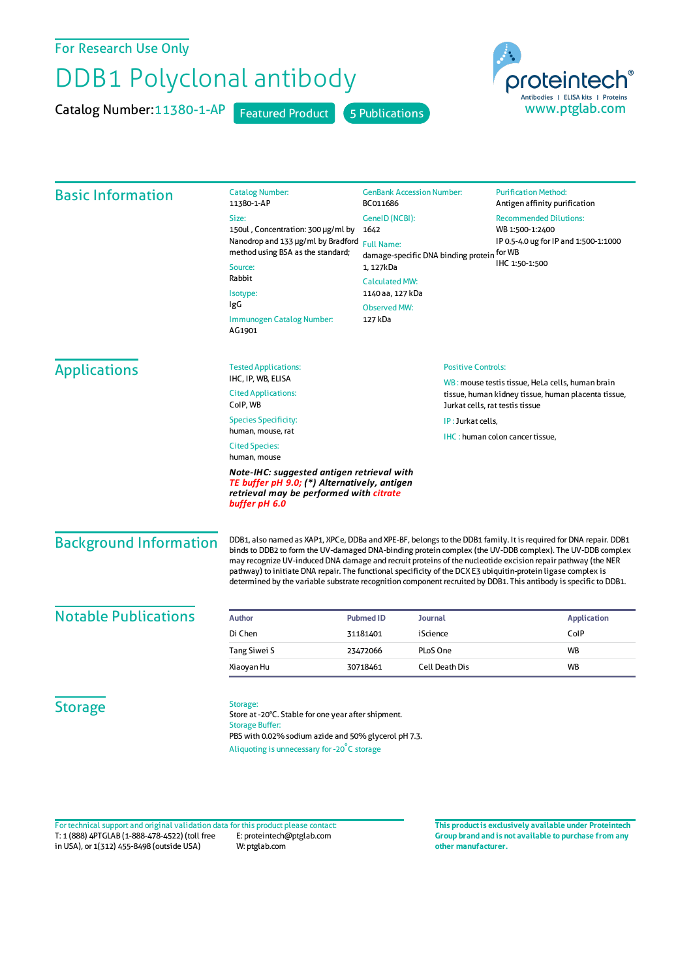For Research Use Only

## DDB1 Polyclonal antibody

Catalog Number: 11380-1-AP Featured Product 5 Publications



| <b>Basic Information</b>                                                                                                                               | <b>Catalog Number:</b><br>11380-1-AP                                                                                                                                                                                                                                                                                                                                                                                                                                                                                                                                              | <b>GenBank Accession Number:</b><br>BC011686                     |                                 | <b>Purification Method:</b><br>Antigen affinity purification                           |           |
|--------------------------------------------------------------------------------------------------------------------------------------------------------|-----------------------------------------------------------------------------------------------------------------------------------------------------------------------------------------------------------------------------------------------------------------------------------------------------------------------------------------------------------------------------------------------------------------------------------------------------------------------------------------------------------------------------------------------------------------------------------|------------------------------------------------------------------|---------------------------------|----------------------------------------------------------------------------------------|-----------|
|                                                                                                                                                        | Size:                                                                                                                                                                                                                                                                                                                                                                                                                                                                                                                                                                             | GeneID (NCBI):                                                   |                                 | <b>Recommended Dilutions:</b>                                                          |           |
|                                                                                                                                                        | 150ul, Concentration: 300 µg/ml by<br>Nanodrop and 133 µg/ml by Bradford<br>method using BSA as the standard;<br>Source:<br>Rabbit<br>Isotype:<br>IgG<br>Immunogen Catalog Number:<br>AG1901                                                                                                                                                                                                                                                                                                                                                                                      | 1642<br><b>Full Name:</b><br>damage-specific DNA binding protein |                                 | WB 1:500-1:2400<br>IP 0.5-4.0 ug for IP and 1:500-1:1000<br>for WB                     |           |
|                                                                                                                                                        |                                                                                                                                                                                                                                                                                                                                                                                                                                                                                                                                                                                   |                                                                  |                                 |                                                                                        | 1, 127kDa |
|                                                                                                                                                        |                                                                                                                                                                                                                                                                                                                                                                                                                                                                                                                                                                                   | <b>Calculated MW:</b>                                            |                                 |                                                                                        |           |
|                                                                                                                                                        |                                                                                                                                                                                                                                                                                                                                                                                                                                                                                                                                                                                   | 1140 aa, 127 kDa                                                 |                                 |                                                                                        |           |
|                                                                                                                                                        |                                                                                                                                                                                                                                                                                                                                                                                                                                                                                                                                                                                   | <b>Observed MW:</b>                                              |                                 |                                                                                        |           |
|                                                                                                                                                        |                                                                                                                                                                                                                                                                                                                                                                                                                                                                                                                                                                                   | 127 kDa                                                          |                                 |                                                                                        |           |
|                                                                                                                                                        |                                                                                                                                                                                                                                                                                                                                                                                                                                                                                                                                                                                   | <b>Applications</b>                                              | <b>Tested Applications:</b>     | <b>Positive Controls:</b>                                                              |           |
| IHC, IP, WB, ELISA                                                                                                                                     |                                                                                                                                                                                                                                                                                                                                                                                                                                                                                                                                                                                   |                                                                  |                                 | WB: mouse testis tissue. HeLa cells, human brain                                       |           |
| <b>Cited Applications:</b><br>CoIP, WB                                                                                                                 |                                                                                                                                                                                                                                                                                                                                                                                                                                                                                                                                                                                   |                                                                  |                                 | tissue, human kidney tissue, human placenta tissue,<br>Jurkat cells, rat testis tissue |           |
| <b>Species Specificity:</b>                                                                                                                            |                                                                                                                                                                                                                                                                                                                                                                                                                                                                                                                                                                                   |                                                                  | IP: Jurkat cells,               |                                                                                        |           |
| human, mouse, rat                                                                                                                                      |                                                                                                                                                                                                                                                                                                                                                                                                                                                                                                                                                                                   |                                                                  | IHC: human colon cancer tissue, |                                                                                        |           |
| <b>Cited Species:</b><br>human, mouse                                                                                                                  |                                                                                                                                                                                                                                                                                                                                                                                                                                                                                                                                                                                   |                                                                  |                                 |                                                                                        |           |
| Note-IHC: suggested antigen retrieval with<br>TE buffer pH 9.0; (*) Alternatively, antigen<br>retrieval may be performed with citrate<br>buffer pH 6.0 |                                                                                                                                                                                                                                                                                                                                                                                                                                                                                                                                                                                   |                                                                  |                                 |                                                                                        |           |
| <b>Background Information</b>                                                                                                                          | DDB1, also named as XAP1, XPCe, DDBa and XPE-BF, belongs to the DDB1 family. It is required for DNA repair. DDB1<br>binds to DDB2 to form the UV-damaged DNA-binding protein complex (the UV-DDB complex). The UV-DDB complex<br>may recognize UV-induced DNA damage and recruit proteins of the nucleotide excision repair pathway (the NER<br>pathway) to initiate DNA repair. The functional specificity of the DCX E3 ubiquitin-protein ligase complex is<br>determined by the variable substrate recognition component recruited by DDB1. This antibody is specific to DDB1. |                                                                  |                                 |                                                                                        |           |
| <b>Notable Publications</b>                                                                                                                            | Author                                                                                                                                                                                                                                                                                                                                                                                                                                                                                                                                                                            | <b>Journal</b><br><b>Pubmed ID</b>                               |                                 | <b>Application</b>                                                                     |           |
|                                                                                                                                                        | Di Chen                                                                                                                                                                                                                                                                                                                                                                                                                                                                                                                                                                           | iScience<br>31181401                                             |                                 | ColP                                                                                   |           |
|                                                                                                                                                        | Tang Siwei S                                                                                                                                                                                                                                                                                                                                                                                                                                                                                                                                                                      | PLoS One<br>23472066                                             |                                 | WB                                                                                     |           |
|                                                                                                                                                        | Xiaoyan Hu                                                                                                                                                                                                                                                                                                                                                                                                                                                                                                                                                                        | 30718461                                                         | <b>Cell Death Dis</b>           | WB                                                                                     |           |
| <b>Storage</b>                                                                                                                                         | Storage:<br>Store at -20°C. Stable for one year after shipment.<br><b>Storage Buffer:</b><br>PBS with 0.02% sodium azide and 50% glycerol pH 7.3.                                                                                                                                                                                                                                                                                                                                                                                                                                 |                                                                  |                                 |                                                                                        |           |

T: 1 (888) 4PTGLAB (1-888-478-4522) (toll free in USA), or 1(312) 455-8498 (outside USA) E: proteintech@ptglab.com W: ptglab.com Fortechnical support and original validation data forthis product please contact: **This productis exclusively available under Proteintech**

**Group brand and is not available to purchase from any other manufacturer.**